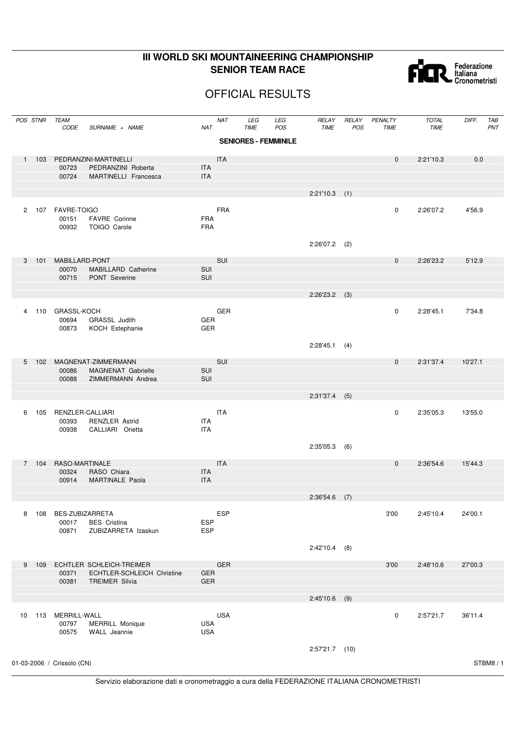## **III WORLD SKI MOUNTAINEERING CHAMPIONSHIP SENIOR TEAM RACE**



## OFFICIAL RESULTS

|                      | POS STNR | <b>TEAM</b><br><b>CODE</b>         | SURNAME + NAME                                         | <b>NAT</b>               | <b>NAT</b> | LEG<br><b>TIME</b>          | LEG<br>POS | RELAY<br><b>TIME</b> | RELAY<br>POS | PENALTY<br><b>TIME</b> | <b>TOTAL</b><br><b>TIME</b> | DIFF.   | TAB<br>PNT |
|----------------------|----------|------------------------------------|--------------------------------------------------------|--------------------------|------------|-----------------------------|------------|----------------------|--------------|------------------------|-----------------------------|---------|------------|
|                      |          |                                    |                                                        |                          |            | <b>SENIORES - FEMMINILE</b> |            |                      |              |                        |                             |         |            |
| $\mathbf{1}$         | 103      |                                    | PEDRANZINI-MARTINELLI                                  |                          | <b>ITA</b> |                             |            |                      |              | $\mathbf 0$            | 2:21'10.3                   | 0.0     |            |
|                      |          | 00723<br>00724                     | PEDRANZINI Roberta<br>MARTINELLI Francesca             | <b>ITA</b><br><b>ITA</b> |            |                             |            |                      |              |                        |                             |         |            |
|                      |          |                                    |                                                        |                          |            |                             |            |                      |              |                        |                             |         |            |
|                      |          |                                    |                                                        |                          |            |                             |            | 2:21'10.3            | (1)          |                        |                             |         |            |
| $\mathbf{2}^{\circ}$ | 107      | FAVRE-TOIGO<br>00151<br>00932      | FAVRE Corinne<br><b>TOIGO Carole</b>                   | <b>FRA</b><br><b>FRA</b> | <b>FRA</b> |                             |            |                      |              | 0                      | 2:26'07.2                   | 4'56.9  |            |
|                      |          |                                    |                                                        |                          |            |                             |            | 2:26'07.2            | (2)          |                        |                             |         |            |
| 3                    | 101      | MABILLARD-PONT                     |                                                        |                          | SUI        |                             |            |                      |              | $\mathbf 0$            | 2:26'23.2                   | 5'12.9  |            |
|                      |          | 00070<br>00715                     | MABILLARD Catherine<br><b>PONT</b> Severine            | SUI<br>SUI               |            |                             |            |                      |              |                        |                             |         |            |
|                      |          |                                    |                                                        |                          |            |                             |            |                      |              |                        |                             |         |            |
|                      |          |                                    |                                                        |                          |            |                             |            | $2:26'23.2$ (3)      |              |                        |                             |         |            |
| $\overline{4}$       | 110      | GRASSL-KOCH<br>00694<br>00873      | GRASSL Judith<br>KOCH Estephanie                       | GER<br><b>GER</b>        | <b>GER</b> |                             |            |                      |              | 0                      | 2:28'45.1                   | 7'34.8  |            |
|                      |          |                                    |                                                        |                          |            |                             |            | 2:28'45.1            | (4)          |                        |                             |         |            |
| 5 <sup>5</sup>       | 102      |                                    | MAGNENAT-ZIMMERMANN                                    |                          | SUI        |                             |            |                      |              | $\mathbf 0$            | 2:31'37.4                   | 10'27.1 |            |
|                      |          | 00086<br>00088                     | <b>MAGNENAT Gabrielle</b><br>ZIMMERMANN Andrea         | SUI<br>SUI               |            |                             |            |                      |              |                        |                             |         |            |
|                      |          |                                    |                                                        |                          |            |                             |            | $2:31'37.4$ (5)      |              |                        |                             |         |            |
| 6                    | 105      | RENZLER-CALLIARI<br>00393<br>00938 | <b>RENZLER Astrid</b><br>CALLIARI Orietta              | ITA<br><b>ITA</b>        | <b>ITA</b> |                             |            |                      |              | 0                      | 2:35'05.3                   | 13'55.0 |            |
|                      |          |                                    |                                                        |                          |            |                             |            | 2:35'05.3            | (6)          |                        |                             |         |            |
|                      | 7 104    | RASO-MARTINALE                     |                                                        |                          | <b>ITA</b> |                             |            |                      |              | 0                      | 2:36'54.6                   | 15'44.3 |            |
|                      |          | 00324<br>00914                     | RASO Chiara<br>MARTINALE Paola                         | <b>ITA</b><br><b>ITA</b> |            |                             |            |                      |              |                        |                             |         |            |
|                      |          |                                    |                                                        |                          |            |                             |            | $2:36'54.6$ (7)      |              |                        |                             |         |            |
|                      |          |                                    |                                                        |                          | <b>ESP</b> |                             |            |                      |              | 3'00                   |                             |         |            |
| 8                    | 108      | BES-ZUBIZARRETA<br>00017<br>00871  | <b>BES</b> Cristina<br>ZUBIZARRETA Izaskun             | <b>ESP</b><br><b>ESP</b> |            |                             |            |                      |              |                        | 2:45'10.4                   | 24'00.1 |            |
|                      |          |                                    |                                                        |                          |            |                             |            | $2:42'10.4$ (8)      |              |                        |                             |         |            |
| 9                    | 109      | 00371                              | ECHTLER SCHLEICH-TREIMER<br>ECHTLER-SCHLEICH Christine | GER                      | <b>GER</b> |                             |            |                      |              | 3'00                   | 2:48'10.6                   | 27'00.3 |            |
|                      |          | 00381                              | <b>TREIMER Silvia</b>                                  | <b>GER</b>               |            |                             |            |                      |              |                        |                             |         |            |
|                      |          |                                    |                                                        |                          |            |                             |            | $2:45'10.6$ (9)      |              |                        |                             |         |            |
| 10                   |          | 113 MERRILL-WALL<br>00797<br>00575 | <b>MERRILL Monique</b><br>WALL Jeannie                 | <b>USA</b><br><b>USA</b> | <b>USA</b> |                             |            |                      |              | 0                      | 2:57'21.7                   | 36'11.4 |            |
|                      |          |                                    |                                                        |                          |            |                             |            | $2:57'21.7$ (10)     |              |                        |                             |         |            |
|                      |          | 01-03-2006 / Crissolo (CN)         |                                                        |                          |            |                             |            |                      |              |                        |                             |         | STBM8/1    |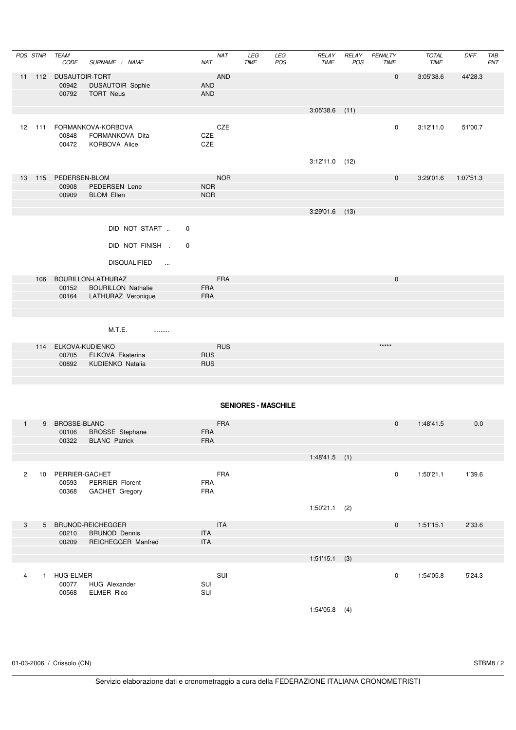|                | POS STNR       | TEAM<br>CODE                         | SURNAME + NAME                                                | <b>NAT</b><br>NAT                      | LEG<br>TIME                | LEG<br>POS | RELAY<br><b>TIME</b> | RELAY<br>POS | PENALTY<br>TIME | <b>TOTAL</b><br><b>TIME</b> | DIFF.     | TAB<br>PNT |
|----------------|----------------|--------------------------------------|---------------------------------------------------------------|----------------------------------------|----------------------------|------------|----------------------|--------------|-----------------|-----------------------------|-----------|------------|
| 11             |                | 112 DUSAUTOIR-TORT<br>00942<br>00792 | <b>DUSAUTOIR Sophie</b><br><b>TORT Neus</b>                   | <b>AND</b><br><b>AND</b><br><b>AND</b> |                            |            |                      |              | $\mathbf 0$     | 3:05'38.6                   | 44'28.3   |            |
|                |                |                                      |                                                               |                                        |                            |            | $3:05'38.6$ (11)     |              |                 |                             |           |            |
|                | 12 111         | 00848<br>00472                       | FORMANKOVA-KORBOVA<br>FORMANKOVA Dita<br><b>KORBOVA Alice</b> | CZE<br>CZE<br>CZE                      |                            |            |                      |              | 0               | 3:12'11.0                   | 51'00.7   |            |
|                |                |                                      |                                                               |                                        |                            |            | $3:12'11.0$ (12)     |              |                 |                             |           |            |
| 13             | 115            | PEDERSEN-BLOM<br>00908               | PEDERSEN Lene                                                 | <b>NOR</b><br><b>NOR</b>               |                            |            |                      |              | $\mathbf 0$     | 3:29'01.6                   | 1:07'51.3 |            |
|                |                | 00909                                | <b>BLOM Ellen</b>                                             | <b>NOR</b>                             |                            |            |                      |              |                 |                             |           |            |
|                |                |                                      |                                                               |                                        |                            |            | $3:29'01.6$ (13)     |              |                 |                             |           |            |
|                |                |                                      | DID NOT START<br>0                                            |                                        |                            |            |                      |              |                 |                             |           |            |
|                |                |                                      | DID NOT FINISH .<br>0                                         |                                        |                            |            |                      |              |                 |                             |           |            |
|                |                |                                      | <b>DISQUALIFIED</b><br>$\sim$ $\sim$                          |                                        |                            |            |                      |              |                 |                             |           |            |
|                | 106            |                                      | BOURILLON-LATHURAZ                                            | <b>FRA</b>                             |                            |            |                      |              | $\pmb{0}$       |                             |           |            |
|                |                | 00152                                | <b>BOURILLON Nathalie</b>                                     | <b>FRA</b>                             |                            |            |                      |              |                 |                             |           |            |
|                |                | 00164                                | LATHURAZ Veronique                                            | <b>FRA</b>                             |                            |            |                      |              |                 |                             |           |            |
|                |                |                                      |                                                               |                                        |                            |            |                      |              |                 |                             |           |            |
|                |                |                                      | M.T.E.<br>.                                                   |                                        |                            |            |                      |              |                 |                             |           |            |
|                | 114            | ELKOVA-KUDIENKO<br>00705             | ELKOVA Ekaterina                                              | <b>RUS</b><br><b>RUS</b>               |                            |            |                      |              | *****           |                             |           |            |
|                |                | 00892                                | KUDIENKO Natalia                                              | <b>RUS</b>                             |                            |            |                      |              |                 |                             |           |            |
|                |                |                                      |                                                               |                                        |                            |            |                      |              |                 |                             |           |            |
|                |                |                                      |                                                               |                                        |                            |            |                      |              |                 |                             |           |            |
|                |                |                                      |                                                               |                                        | <b>SENIORES - MASCHILE</b> |            |                      |              |                 |                             |           |            |
| $\mathbf{1}$   | 9              | <b>BROSSE-BLANC</b>                  |                                                               | <b>FRA</b>                             |                            |            |                      |              | $\mathbf{0}$    | 1:48'41.5                   | 0.0       |            |
|                |                | 00106<br>00322                       | <b>BROSSE</b> Stephane<br><b>BLANC Patrick</b>                | <b>FRA</b><br><b>FRA</b>               |                            |            |                      |              |                 |                             |           |            |
|                |                |                                      |                                                               |                                        |                            |            |                      |              |                 |                             |           |            |
|                |                |                                      |                                                               |                                        |                            |            | $1:48'41.5$ (1)      |              |                 |                             |           |            |
| $\overline{2}$ |                | 10 PERRIER-GACHET                    |                                                               | <b>FRA</b>                             |                            |            |                      |              | 0               | 1:50'21.1                   | 1'39.6    |            |
|                |                | 00593<br>00368                       | PERRIER Florent<br>GACHET Gregory                             | <b>FRA</b><br><b>FRA</b>               |                            |            |                      |              |                 |                             |           |            |
|                |                |                                      |                                                               |                                        |                            |            | $1:50'21.1$ (2)      |              |                 |                             |           |            |
|                |                |                                      |                                                               |                                        |                            |            |                      |              |                 |                             |           |            |
| $\mathbf{3}$   | 5 <sup>5</sup> | 00210                                | BRUNOD-REICHEGGER<br><b>BRUNOD Dennis</b>                     | <b>ITA</b><br><b>ITA</b>               |                            |            |                      |              | $\mathbf 0$     | 1:51'15.1                   | 2'33.6    |            |
|                |                | 00209                                | REICHEGGER Manfred                                            | <b>ITA</b>                             |                            |            |                      |              |                 |                             |           |            |
|                |                |                                      |                                                               |                                        |                            |            | $1:51'15.1$ (3)      |              |                 |                             |           |            |
| $\overline{4}$ | $\mathbf{1}$   | <b>HUG-ELMER</b>                     |                                                               | SUI                                    |                            |            |                      |              | $\mathsf 0$     | 1:54'05.8                   | 5'24.3    |            |
|                |                | 00077                                | HUG Alexander                                                 | SUI                                    |                            |            |                      |              |                 |                             |           |            |
|                |                | 00568                                | ELMER Rico                                                    | SUI                                    |                            |            |                      |              |                 |                             |           |            |
|                |                |                                      |                                                               |                                        |                            |            | $1:54'05.8$ (4)      |              |                 |                             |           |            |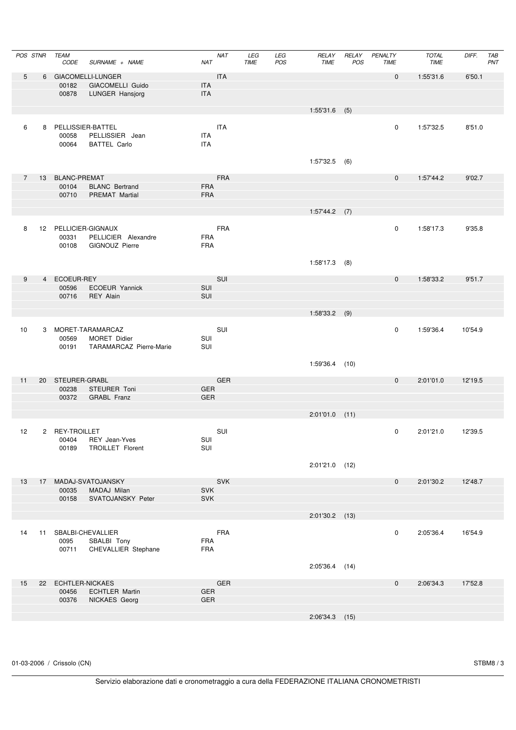|    | POS STNR | TEAM<br>CODE             | SURNAME + NAME                               | NAT                      | <b>NAT</b> | LEG<br>TIME | LEG<br>POS | RELAY<br><b>TIME</b> | RELAY<br>POS | PENALTY<br>TIME | <b>TOTAL</b><br><b>TIME</b> | DIFF.   | TAB<br>PNT |
|----|----------|--------------------------|----------------------------------------------|--------------------------|------------|-------------|------------|----------------------|--------------|-----------------|-----------------------------|---------|------------|
| 5  |          |                          | 6 GIACOMELLI-LUNGER                          |                          | <b>ITA</b> |             |            |                      |              | $\mathbf 0$     | 1:55'31.6                   | 6'50.1  |            |
|    |          | 00182<br>00878           | GIACOMELLI Guido<br>LUNGER Hansjorg          | <b>ITA</b><br>ITA        |            |             |            |                      |              |                 |                             |         |            |
|    |          |                          |                                              |                          |            |             |            | $1:55'31.6$ (5)      |              |                 |                             |         |            |
| 6  |          |                          | 8 PELLISSIER-BATTEL                          |                          | ITA        |             |            |                      |              | 0               | 1:57'32.5                   | 8'51.0  |            |
|    |          | 00058<br>00064           | PELLISSIER Jean                              | <b>ITA</b><br><b>ITA</b> |            |             |            |                      |              |                 |                             |         |            |
|    |          |                          | <b>BATTEL Carlo</b>                          |                          |            |             |            |                      |              |                 |                             |         |            |
|    |          |                          |                                              |                          |            |             |            | $1:57'32.5$ (6)      |              |                 |                             |         |            |
| 7  |          | 13 BLANC-PREMAT<br>00104 | <b>BLANC</b> Bertrand                        | <b>FRA</b>               | <b>FRA</b> |             |            |                      |              | $\mathbf 0$     | 1:57'44.2                   | 9'02.7  |            |
|    |          | 00710                    | <b>PREMAT Martial</b>                        | <b>FRA</b>               |            |             |            |                      |              |                 |                             |         |            |
|    |          |                          |                                              |                          |            |             |            | $1:57'44.2$ (7)      |              |                 |                             |         |            |
| 8  |          |                          | 12 PELLICIER-GIGNAUX                         |                          | <b>FRA</b> |             |            |                      |              | 0               | 1:58'17.3                   | 9'35.8  |            |
|    |          | 00331<br>00108           | PELLICIER Alexandre<br><b>GIGNOUZ Pierre</b> | <b>FRA</b><br><b>FRA</b> |            |             |            |                      |              |                 |                             |         |            |
|    |          |                          |                                              |                          |            |             |            |                      |              |                 |                             |         |            |
|    |          |                          |                                              |                          |            |             |            | $1:58'17.3$ (8)      |              |                 |                             |         |            |
| 9  |          | 4 ECOEUR-REY<br>00596    | ECOEUR Yannick                               | SUI                      | SUI        |             |            |                      |              | $\mathbf 0$     | 1:58'33.2                   | 9'51.7  |            |
|    |          | 00716                    | REY Alain                                    | SUI                      |            |             |            |                      |              |                 |                             |         |            |
|    |          |                          |                                              |                          |            |             |            | $1:58'33.2$ (9)      |              |                 |                             |         |            |
| 10 |          |                          | 3 MORET-TARAMARCAZ                           |                          | SUI        |             |            |                      |              | 0               | 1:59'36.4                   | 10'54.9 |            |
|    |          | 00569<br>00191           | MORET Didier<br>TARAMARCAZ Pierre-Marie      | SUI<br>SUI               |            |             |            |                      |              |                 |                             |         |            |
|    |          |                          |                                              |                          |            |             |            | 1:59'36.4 (10)       |              |                 |                             |         |            |
| 11 |          | 20 STEURER-GRABL         |                                              |                          | <b>GER</b> |             |            |                      |              | $\mathbf 0$     | 2:01'01.0                   | 12'19.5 |            |
|    |          | 00238                    | STEURER Toni                                 | <b>GER</b><br><b>GER</b> |            |             |            |                      |              |                 |                             |         |            |
|    |          | 00372                    | GRABL Franz                                  |                          |            |             |            |                      |              |                 |                             |         |            |
|    |          |                          |                                              |                          |            |             |            | $2:01'01.0$ (11)     |              |                 |                             |         |            |
| 12 |          | 2 REY-TROILLET<br>00404  | REY Jean-Yves                                | SUI                      | SUI        |             |            |                      |              | 0               | 2:01'21.0                   | 12'39.5 |            |
|    |          | 00189                    | <b>TROILLET Florent</b>                      | SUI                      |            |             |            |                      |              |                 |                             |         |            |
|    |          |                          |                                              |                          |            |             |            | $2:01'21.0$ (12)     |              |                 |                             |         |            |
| 13 |          |                          | 17 MADAJ-SVATOJANSKY                         |                          | SVK        |             |            |                      |              | $\mathbf 0$     | 2:01'30.2                   | 12'48.7 |            |
|    |          | 00035<br>00158           | MADAJ Milan<br>SVATOJANSKY Peter             | <b>SVK</b><br><b>SVK</b> |            |             |            |                      |              |                 |                             |         |            |
|    |          |                          |                                              |                          |            |             |            | $2:01'30.2$ (13)     |              |                 |                             |         |            |
|    |          |                          |                                              |                          |            |             |            |                      |              |                 |                             |         |            |
| 14 | 11       | 0095                     | SBALBI-CHEVALLIER<br>SBALBI Tony             | <b>FRA</b>               | FRA        |             |            |                      |              | 0               | 2:05'36.4                   | 16'54.9 |            |
|    |          | 00711                    | CHEVALLIER Stephane                          | <b>FRA</b>               |            |             |            |                      |              |                 |                             |         |            |
|    |          |                          |                                              |                          |            |             |            | $2:05'36.4$ (14)     |              |                 |                             |         |            |
| 15 | 22       | 00456                    | ECHTLER-NICKAES<br><b>ECHTLER Martin</b>     | <b>GER</b>               | GER        |             |            |                      |              | $\mathbf 0$     | 2:06'34.3                   | 17'52.8 |            |
|    |          | 00376                    | NICKAES Georg                                | GER                      |            |             |            |                      |              |                 |                             |         |            |
|    |          |                          |                                              |                          |            |             |            | $2:06'34.3$ (15)     |              |                 |                             |         |            |
|    |          |                          |                                              |                          |            |             |            |                      |              |                 |                             |         |            |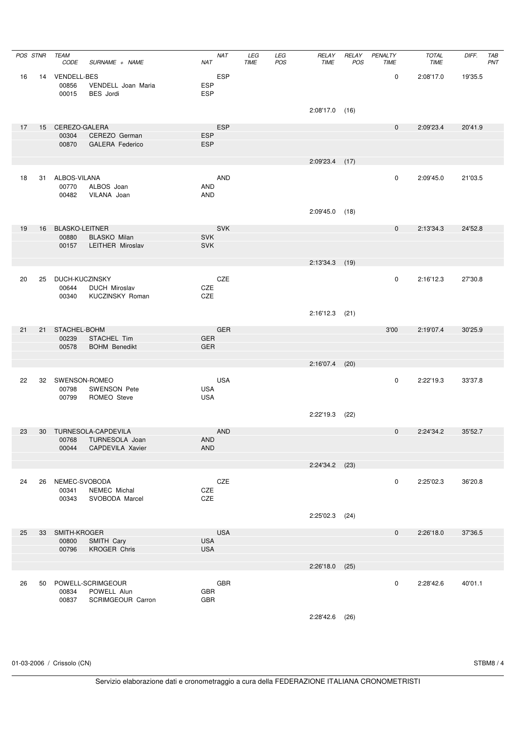|    |    | POS STNR TEAM<br>CODE               | SURNAME + NAME                                        | <b>NAT</b><br>NAT                      | LEG<br>TIME | LEG<br>POS | RELAY<br><b>TIME</b> | RELAY<br>POS | PENALTY<br><b>TIME</b> | <b>TOTAL</b><br><b>TIME</b> | DIFF.   | TAB<br>PNT |
|----|----|-------------------------------------|-------------------------------------------------------|----------------------------------------|-------------|------------|----------------------|--------------|------------------------|-----------------------------|---------|------------|
| 16 |    | 14 VENDELL-BES<br>00856<br>00015    | VENDELL Joan Maria<br><b>BES</b> Jordi                | <b>ESP</b><br><b>ESP</b><br><b>ESP</b> |             |            |                      |              | $\mathbf 0$            | 2:08'17.0                   | 19'35.5 |            |
|    |    |                                     |                                                       |                                        |             |            | $2:08'17.0$ (16)     |              |                        |                             |         |            |
| 17 |    | 15 CEREZO-GALERA                    |                                                       | <b>ESP</b>                             |             |            |                      |              | $\mathbf 0$            | 2:09'23.4                   | 20'41.9 |            |
|    |    | 00304                               | CEREZO German                                         | <b>ESP</b>                             |             |            |                      |              |                        |                             |         |            |
|    |    | 00870                               | <b>GALERA Federico</b>                                | <b>ESP</b>                             |             |            |                      |              |                        |                             |         |            |
|    |    |                                     |                                                       |                                        |             |            | $2:09'23.4$ (17)     |              |                        |                             |         |            |
| 18 |    | 31 ALBOS-VILANA<br>00770<br>00482   | ALBOS Joan<br>VILANA Joan                             | AND<br>AND<br><b>AND</b>               |             |            |                      |              | $\mathbf 0$            | 2:09'45.0                   | 21'03.5 |            |
|    |    |                                     |                                                       |                                        |             |            | $2:09'45.0$ (18)     |              |                        |                             |         |            |
| 19 |    | 16 BLASKO-LEITNER                   |                                                       | SVK                                    |             |            |                      |              | $\mathbf 0$            | 2:13'34.3                   | 24'52.8 |            |
|    |    | 00880                               | <b>BLASKO Milan</b>                                   | <b>SVK</b>                             |             |            |                      |              |                        |                             |         |            |
|    |    | 00157                               | LEITHER Miroslav                                      | <b>SVK</b>                             |             |            |                      |              |                        |                             |         |            |
|    |    |                                     |                                                       |                                        |             |            | $2:13'34.3$ (19)     |              |                        |                             |         |            |
|    |    |                                     |                                                       |                                        |             |            |                      |              |                        |                             |         |            |
| 20 |    | 25 DUCH-KUCZINSKY<br>00644<br>00340 | <b>DUCH Miroslav</b><br>KUCZINSKY Roman               | CZE<br>CZE<br>CZE                      |             |            |                      |              | $\mathbf 0$            | 2:16'12.3                   | 27'30.8 |            |
|    |    |                                     |                                                       |                                        |             |            | $2:16'12.3$ (21)     |              |                        |                             |         |            |
| 21 |    | 21 STACHEL-BOHM                     |                                                       | <b>GER</b>                             |             |            |                      |              | 3'00                   | 2:19'07.4                   | 30'25.9 |            |
|    |    | 00239<br>00578                      | STACHEL Tim<br><b>BOHM Benedikt</b>                   | <b>GER</b><br><b>GER</b>               |             |            |                      |              |                        |                             |         |            |
|    |    |                                     |                                                       |                                        |             |            | $2:16'07.4$ (20)     |              |                        |                             |         |            |
|    |    |                                     |                                                       |                                        |             |            |                      |              |                        |                             |         |            |
| 22 |    | 32 SWENSON-ROMEO<br>00798<br>00799  | <b>SWENSON Pete</b><br>ROMEO Steve                    | <b>USA</b><br><b>USA</b><br><b>USA</b> |             |            |                      |              | $\mathbf 0$            | 2:22'19.3                   | 33'37.8 |            |
|    |    |                                     |                                                       |                                        |             |            | 2:22'19.3 (22)       |              |                        |                             |         |            |
| 23 |    |                                     | 30 TURNESOLA-CAPDEVILA                                | <b>AND</b>                             |             |            |                      |              | $\mathbf{0}$           | 2:24'34.2                   | 35'52.7 |            |
|    |    | 00768                               | TURNESOLA Joan                                        | AND                                    |             |            |                      |              |                        |                             |         |            |
|    |    | 00044                               | CAPDEVILA Xavier                                      | <b>AND</b>                             |             |            |                      |              |                        |                             |         |            |
|    |    |                                     |                                                       |                                        |             |            | $2:24'34.2$ (23)     |              |                        |                             |         |            |
| 24 | 26 | NEMEC-SVOBODA<br>00341<br>00343     | NEMEC Michal<br>SVOBODA Marcel                        | CZE<br>CZE<br>CZE                      |             |            |                      |              | 0                      | 2:25'02.3                   | 36'20.8 |            |
|    |    |                                     |                                                       |                                        |             |            | $2:25'02.3$ (24)     |              |                        |                             |         |            |
| 25 | 33 | SMITH-KROGER                        |                                                       | <b>USA</b>                             |             |            |                      |              | $\mathbf 0$            | 2:26'18.0                   | 37'36.5 |            |
|    |    | 00800                               | SMITH Cary                                            | <b>USA</b>                             |             |            |                      |              |                        |                             |         |            |
|    |    | 00796                               | <b>KROGER Chris</b>                                   | <b>USA</b>                             |             |            |                      |              |                        |                             |         |            |
|    |    |                                     |                                                       |                                        |             |            | 2:26'18.0            | (25)         |                        |                             |         |            |
|    |    |                                     |                                                       |                                        |             |            |                      |              |                        |                             |         |            |
| 26 | 50 | 00834<br>00837                      | POWELL-SCRIMGEOUR<br>POWELL Alun<br>SCRIMGEOUR Carron | GBR<br><b>GBR</b><br><b>GBR</b>        |             |            |                      |              | $\pmb{0}$              | 2:28'42.6                   | 40'01.1 |            |
|    |    |                                     |                                                       |                                        |             |            | $2:28'42.6$ (26)     |              |                        |                             |         |            |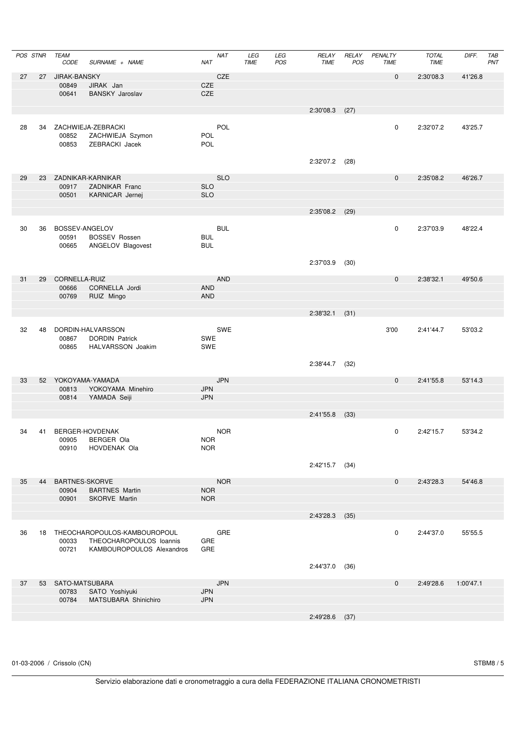|    | POS STNR | TEAM<br>CODE          | SURNAME + NAME                                                                       | <b>NAT</b><br><b>NAT</b>               | LEG<br>TIME | LEG<br>POS | RELAY<br><b>TIME</b> | RELAY<br>POS | PENALTY<br>TIME | <b>TOTAL</b><br><b>TIME</b> | DIFF.     | TAB<br>PNT |
|----|----------|-----------------------|--------------------------------------------------------------------------------------|----------------------------------------|-------------|------------|----------------------|--------------|-----------------|-----------------------------|-----------|------------|
| 27 | 27       | JIRAK-BANSKY<br>00849 | JIRAK Jan                                                                            | CZE<br><b>CZE</b>                      |             |            |                      |              | $\mathbf 0$     | 2:30'08.3                   | 41'26.8   |            |
|    |          | 00641                 | <b>BANSKY Jaroslav</b>                                                               | CZE                                    |             |            |                      |              |                 |                             |           |            |
|    |          |                       |                                                                                      |                                        |             |            | $2:30'08.3$ (27)     |              |                 |                             |           |            |
| 28 | 34       | 00852<br>00853        | ZACHWIEJA-ZEBRACKI<br>ZACHWIEJA Szymon<br>ZEBRACKI Jacek                             | POL<br><b>POL</b><br>POL               |             |            |                      |              | 0               | 2:32'07.2                   | 43'25.7   |            |
|    |          |                       |                                                                                      |                                        |             |            | 2:32'07.2            | (28)         |                 |                             |           |            |
| 29 | 23       | 00917                 | ZADNIKAR-KARNIKAR<br>ZADNIKAR Franc                                                  | <b>SLO</b><br><b>SLO</b>               |             |            |                      |              | $\mathbf 0$     | 2:35'08.2                   | 46'26.7   |            |
|    |          | 00501                 | KARNICAR Jernej                                                                      | <b>SLO</b>                             |             |            |                      |              |                 |                             |           |            |
|    |          |                       |                                                                                      |                                        |             |            | $2:35'08.2$ (29)     |              |                 |                             |           |            |
| 30 | 36       | 00591<br>00665        | BOSSEV-ANGELOV<br><b>BOSSEV Rossen</b><br>ANGELOV Blagovest                          | <b>BUL</b><br><b>BUL</b><br><b>BUL</b> |             |            |                      |              | 0               | 2:37'03.9                   | 48'22.4   |            |
|    |          |                       |                                                                                      |                                        |             |            | 2:37'03.9            | (30)         |                 |                             |           |            |
| 31 | 29       | CORNELLA-RUIZ         |                                                                                      | <b>AND</b>                             |             |            |                      |              | $\mathbf 0$     | 2:38'32.1                   | 49'50.6   |            |
|    |          | 00666<br>00769        | CORNELLA Jordi<br>RUIZ Mingo                                                         | <b>AND</b><br><b>AND</b>               |             |            |                      |              |                 |                             |           |            |
|    |          |                       |                                                                                      |                                        |             |            |                      |              |                 |                             |           |            |
|    |          |                       |                                                                                      |                                        |             |            | 2:38'32.1            | (31)         |                 |                             |           |            |
| 32 | 48       | 00867<br>00865        | DORDIN-HALVARSSON<br><b>DORDIN Patrick</b><br>HALVARSSON Joakim                      | <b>SWE</b><br>SWE<br><b>SWE</b>        |             |            |                      |              | 3'00            | 2:41'44.7                   | 53'03.2   |            |
|    |          |                       |                                                                                      |                                        |             |            | 2:38'44.7            | (32)         |                 |                             |           |            |
| 33 | 52       | 00813                 | YOKOYAMA-YAMADA<br>YOKOYAMA Minehiro                                                 | <b>JPN</b><br><b>JPN</b>               |             |            |                      |              | $\mathbf 0$     | 2:41'55.8                   | 53'14.3   |            |
|    |          | 00814                 | YAMADA Seiji                                                                         | <b>JPN</b>                             |             |            |                      |              |                 |                             |           |            |
|    |          |                       |                                                                                      |                                        |             |            | $2:41'55.8$ (33)     |              |                 |                             |           |            |
|    |          |                       |                                                                                      |                                        |             |            |                      |              |                 |                             |           |            |
| 34 | 41       | 00905<br>00910        | BERGER-HOVDENAK<br>BERGER Ola<br>HOVDENAK Ola                                        | <b>NOR</b><br><b>NOR</b><br><b>NOR</b> |             |            |                      |              | 0               | 2:42'15.7                   | 53'34.2   |            |
|    |          |                       |                                                                                      |                                        |             |            | 2:42'15.7            | (34)         |                 |                             |           |            |
| 35 | 44       | 00904                 | BARTNES-SKORVE<br><b>BARTNES Martin</b>                                              | <b>NOR</b><br><b>NOR</b>               |             |            |                      |              | $\mathbf 0$     | 2:43'28.3                   | 54'46.8   |            |
|    |          | 00901                 | SKORVE Martin                                                                        | <b>NOR</b>                             |             |            |                      |              |                 |                             |           |            |
|    |          |                       |                                                                                      |                                        |             |            | 2:43'28.3 (35)       |              |                 |                             |           |            |
|    |          |                       |                                                                                      |                                        |             |            |                      |              |                 |                             |           |            |
| 36 | 18       | 00033<br>00721        | THEOCHAROPOULOS-KAMBOUROPOUL<br>THEOCHAROPOULOS loannis<br>KAMBOUROPOULOS Alexandros | GRE<br>GRE<br>GRE                      |             |            |                      |              | 0               | 2:44'37.0                   | 55'55.5   |            |
|    |          |                       |                                                                                      |                                        |             |            | 2:44'37.0            | (36)         |                 |                             |           |            |
| 37 | 53       | SATO-MATSUBARA        |                                                                                      | <b>JPN</b>                             |             |            |                      |              | $\mathbf 0$     | 2:49'28.6                   | 1:00'47.1 |            |
|    |          | 00783<br>00784        | SATO Yoshiyuki<br>MATSUBARA Shinichiro                                               | <b>JPN</b><br><b>JPN</b>               |             |            |                      |              |                 |                             |           |            |
|    |          |                       |                                                                                      |                                        |             |            |                      |              |                 |                             |           |            |
|    |          |                       |                                                                                      |                                        |             |            | 2:49'28.6 (37)       |              |                 |                             |           |            |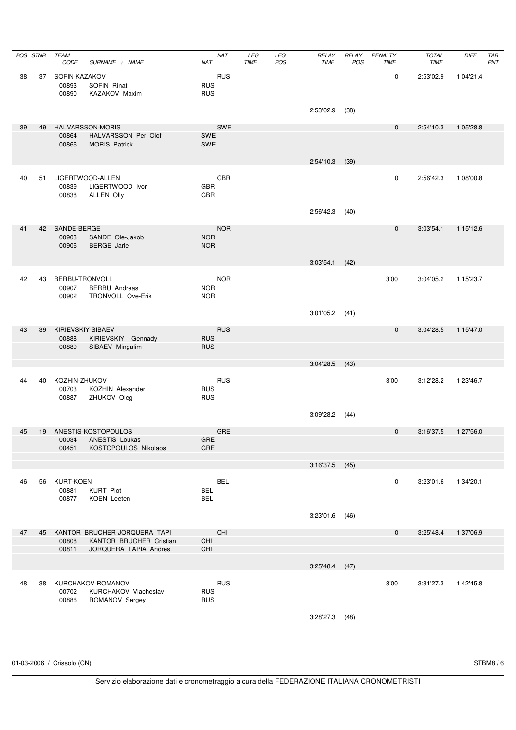| POS STNR |    | <b>TEAM</b><br>CODE                | SURNAME + NAME                                                         | <b>NAT</b><br><b>NAT</b>               | LEG<br><b>TIME</b> | LEG<br>POS | RELAY<br><b>TIME</b> | RELAY<br>POS | PENALTY<br><b>TIME</b> | <b>TOTAL</b><br><b>TIME</b> | DIFF.     | TAB<br>PNT |
|----------|----|------------------------------------|------------------------------------------------------------------------|----------------------------------------|--------------------|------------|----------------------|--------------|------------------------|-----------------------------|-----------|------------|
| 38       | 37 | SOFIN-KAZAKOV<br>00893<br>00890    | SOFIN Rinat<br>KAZAKOV Maxim                                           | <b>RUS</b><br><b>RUS</b><br><b>RUS</b> |                    |            |                      |              | 0                      | 2:53'02.9                   | 1:04'21.4 |            |
|          |    |                                    |                                                                        |                                        |                    |            | 2:53'02.9            | (38)         |                        |                             |           |            |
| 39       | 49 | 00864<br>00866                     | <b>HALVARSSON-MORIS</b><br>HALVARSSON Per Olof<br><b>MORIS Patrick</b> | <b>SWE</b><br><b>SWE</b><br><b>SWE</b> |                    |            |                      |              | $\mathbf 0$            | 2:54'10.3                   | 1:05'28.8 |            |
|          |    |                                    |                                                                        |                                        |                    |            | 2:54'10.3            | (39)         |                        |                             |           |            |
| 40       | 51 | 00839<br>00838                     | LIGERTWOOD-ALLEN<br>LIGERTWOOD Ivor<br><b>ALLEN Olly</b>               | <b>GBR</b><br><b>GBR</b><br><b>GBR</b> |                    |            |                      |              | 0                      | 2:56'42.3                   | 1:08'00.8 |            |
|          |    |                                    |                                                                        |                                        |                    |            | 2:56'42.3            | (40)         |                        |                             |           |            |
| 41       |    | 42 SANDE-BERGE<br>00903<br>00906   | SANDE Ole-Jakob<br><b>BERGE</b> Jarle                                  | <b>NOR</b><br><b>NOR</b><br><b>NOR</b> |                    |            |                      |              | $\mathbf 0$            | 3:03'54.1                   | 1:15'12.6 |            |
|          |    |                                    |                                                                        |                                        |                    |            | 3:03'54.1            | (42)         |                        |                             |           |            |
| 42       | 43 | 00907<br>00902                     | BERBU-TRONVOLL<br><b>BERBU</b> Andreas<br>TRONVOLL Ove-Erik            | <b>NOR</b><br><b>NOR</b><br><b>NOR</b> |                    |            |                      |              | 3'00                   | 3:04'05.2                   | 1:15'23.7 |            |
|          |    |                                    |                                                                        |                                        |                    |            | 3:01'05.2            | (41)         |                        |                             |           |            |
| 43       | 39 | 00888<br>00889                     | KIRIEVSKIY-SIBAEV<br>KIRIEVSKIY Gennady<br>SIBAEV Mingalim             | <b>RUS</b><br><b>RUS</b><br><b>RUS</b> |                    |            |                      |              | $\mathbf 0$            | 3:04'28.5                   | 1:15'47.0 |            |
|          |    |                                    |                                                                        |                                        |                    |            | 3:04'28.5            | (43)         |                        |                             |           |            |
| 44       | 40 | KOZHIN-ZHUKOV<br>00703<br>00887    | KOZHIN Alexander<br>ZHUKOV Oleg                                        | <b>RUS</b><br><b>RUS</b><br><b>RUS</b> |                    |            |                      |              | 3'00                   | 3:12'28.2                   | 1:23'46.7 |            |
|          |    |                                    |                                                                        |                                        |                    |            | 3:09'28.2            | (44)         |                        |                             |           |            |
| 45       |    | 00034                              | 19 ANESTIS-KOSTOPOULOS<br>ANESTIS Loukas                               | <b>GRE</b><br>GRE                      |                    |            |                      |              | $\mathbf 0$            | 3:16'37.5                   | 1:27'56.0 |            |
|          |    | 00451                              | KOSTOPOULOS Nikolaos                                                   | <b>GRE</b>                             |                    |            |                      |              |                        |                             |           |            |
|          |    |                                    |                                                                        |                                        |                    |            | $3:16'37.5$ (45)     |              |                        |                             |           |            |
| 46       | 56 | <b>KURT-KOEN</b><br>00881<br>00877 | <b>KURT Piot</b><br>KOEN Leeten                                        | <b>BEL</b><br><b>BEL</b><br><b>BEL</b> |                    |            |                      |              | 0                      | 3:23'01.6                   | 1:34'20.1 |            |
|          |    |                                    |                                                                        |                                        |                    |            | 3:23'01.6            | (46)         |                        |                             |           |            |
| 47       | 45 | 00808                              | KANTOR BRUCHER-JORQUERA TAPI<br>KANTOR BRUCHER Cristian                | CHI<br>CHI                             |                    |            |                      |              | $\mathbf 0$            | 3:25'48.4                   | 1:37'06.9 |            |
|          |    | 00811                              | JORQUERA TAPIA Andres                                                  | CHI                                    |                    |            |                      |              |                        |                             |           |            |
|          |    |                                    |                                                                        |                                        |                    |            | 3:25'48.4            | (47)         |                        |                             |           |            |
| 48       | 38 | 00702<br>00886                     | KURCHAKOV-ROMANOV<br>KURCHAKOV Viacheslav<br>ROMANOV Sergey            | <b>RUS</b><br><b>RUS</b><br><b>RUS</b> |                    |            |                      |              | 3'00                   | 3:31'27.3                   | 1:42'45.8 |            |
|          |    |                                    |                                                                        |                                        |                    |            | $3:28'27.3$ (48)     |              |                        |                             |           |            |